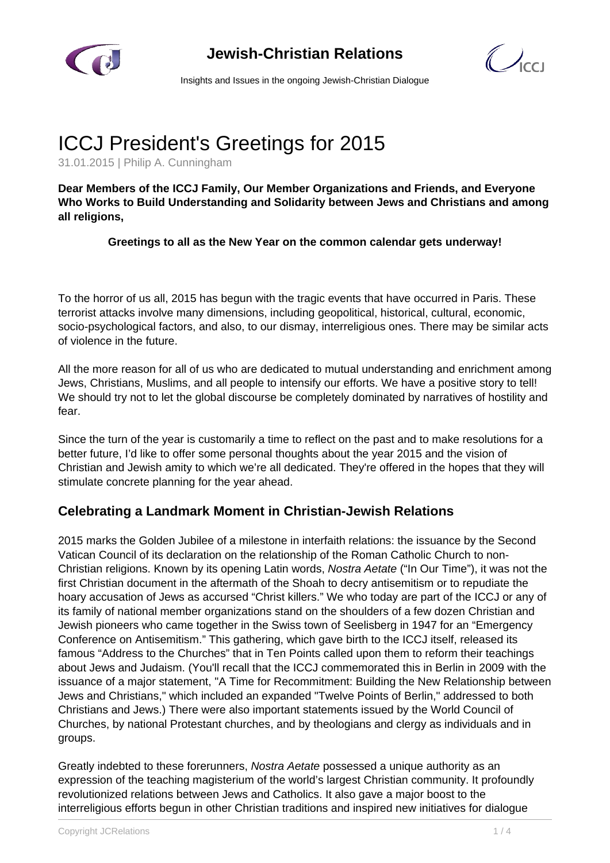

**Jewish-Christian Relations**



Insights and Issues in the ongoing Jewish-Christian Dialogue

# ICCJ President's Greetings for 2015

31.01.2015 | Philip A. Cunningham

**Dear Members of the ICCJ Family, Our Member Organizations and Friends, and Everyone Who Works to Build Understanding and Solidarity between Jews and Christians and among all religions,**

## **Greetings to all as the New Year on the common calendar gets underway!**

To the horror of us all, 2015 has begun with the tragic events that have occurred in Paris. These terrorist attacks involve many dimensions, including geopolitical, historical, cultural, economic, socio-psychological factors, and also, to our dismay, interreligious ones. There may be similar acts of violence in the future.

All the more reason for all of us who are dedicated to mutual understanding and enrichment among Jews, Christians, Muslims, and all people to intensify our efforts. We have a positive story to tell! We should try not to let the global discourse be completely dominated by narratives of hostility and fear.

Since the turn of the year is customarily a time to reflect on the past and to make resolutions for a better future, I'd like to offer some personal thoughts about the year 2015 and the vision of Christian and Jewish amity to which we're all dedicated. They're offered in the hopes that they will stimulate concrete planning for the year ahead.

## **Celebrating a Landmark Moment in Christian-Jewish Relations**

2015 marks the Golden Jubilee of a milestone in interfaith relations: the issuance by the Second Vatican Council of its declaration on the relationship of the Roman Catholic Church to non-Christian religions. Known by its opening Latin words, Nostra Aetate ("In Our Time"), it was not the first Christian document in the aftermath of the Shoah to decry antisemitism or to repudiate the hoary accusation of Jews as accursed "Christ killers." We who today are part of the ICCJ or any of its family of national member organizations stand on the shoulders of a few dozen Christian and Jewish pioneers who came together in the Swiss town of Seelisberg in 1947 for an "Emergency Conference on Antisemitism." This gathering, which gave birth to the ICCJ itself, released its famous "Address to the Churches" that in Ten Points called upon them to reform their teachings about Jews and Judaism. (You'll recall that the ICCJ commemorated this in Berlin in 2009 with the issuance of a major statement, "A Time for Recommitment: Building the New Relationship between Jews and Christians," which included an expanded "Twelve Points of Berlin," addressed to both Christians and Jews.) There were also important statements issued by the World Council of Churches, by national Protestant churches, and by theologians and clergy as individuals and in groups.

Greatly indebted to these forerunners, Nostra Aetate possessed a unique authority as an expression of the teaching magisterium of the world's largest Christian community. It profoundly revolutionized relations between Jews and Catholics. It also gave a major boost to the interreligious efforts begun in other Christian traditions and inspired new initiatives for dialogue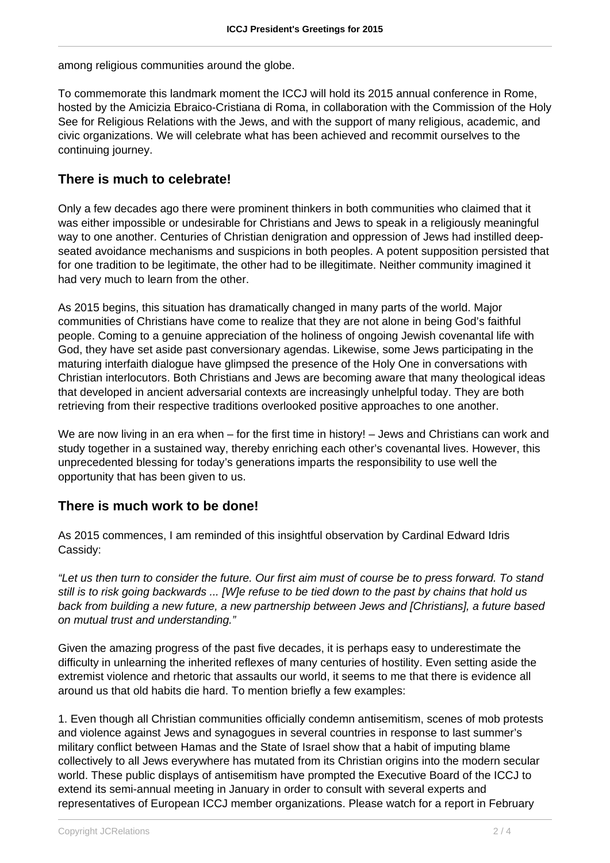among religious communities around the globe.

To commemorate this landmark moment the ICCJ will hold its 2015 annual conference in Rome, hosted by the Amicizia Ebraico-Cristiana di Roma, in collaboration with the Commission of the Holy See for Religious Relations with the Jews, and with the support of many religious, academic, and civic organizations. We will celebrate what has been achieved and recommit ourselves to the continuing journey.

## **There is much to celebrate!**

Only a few decades ago there were prominent thinkers in both communities who claimed that it was either impossible or undesirable for Christians and Jews to speak in a religiously meaningful way to one another. Centuries of Christian denigration and oppression of Jews had instilled deepseated avoidance mechanisms and suspicions in both peoples. A potent supposition persisted that for one tradition to be legitimate, the other had to be illegitimate. Neither community imagined it had very much to learn from the other.

As 2015 begins, this situation has dramatically changed in many parts of the world. Major communities of Christians have come to realize that they are not alone in being God's faithful people. Coming to a genuine appreciation of the holiness of ongoing Jewish covenantal life with God, they have set aside past conversionary agendas. Likewise, some Jews participating in the maturing interfaith dialogue have glimpsed the presence of the Holy One in conversations with Christian interlocutors. Both Christians and Jews are becoming aware that many theological ideas that developed in ancient adversarial contexts are increasingly unhelpful today. They are both retrieving from their respective traditions overlooked positive approaches to one another.

We are now living in an era when – for the first time in history! – Jews and Christians can work and study together in a sustained way, thereby enriching each other's covenantal lives. However, this unprecedented blessing for today's generations imparts the responsibility to use well the opportunity that has been given to us.

## **There is much work to be done!**

As 2015 commences, I am reminded of this insightful observation by Cardinal Edward Idris Cassidy:

"Let us then turn to consider the future. Our first aim must of course be to press forward. To stand still is to risk going backwards ... [W]e refuse to be tied down to the past by chains that hold us back from building a new future, a new partnership between Jews and [Christians], a future based on mutual trust and understanding."

Given the amazing progress of the past five decades, it is perhaps easy to underestimate the difficulty in unlearning the inherited reflexes of many centuries of hostility. Even setting aside the extremist violence and rhetoric that assaults our world, it seems to me that there is evidence all around us that old habits die hard. To mention briefly a few examples:

1. Even though all Christian communities officially condemn antisemitism, scenes of mob protests and violence against Jews and synagogues in several countries in response to last summer's military conflict between Hamas and the State of Israel show that a habit of imputing blame collectively to all Jews everywhere has mutated from its Christian origins into the modern secular world. These public displays of antisemitism have prompted the Executive Board of the ICCJ to extend its semi-annual meeting in January in order to consult with several experts and representatives of European ICCJ member organizations. Please watch for a report in February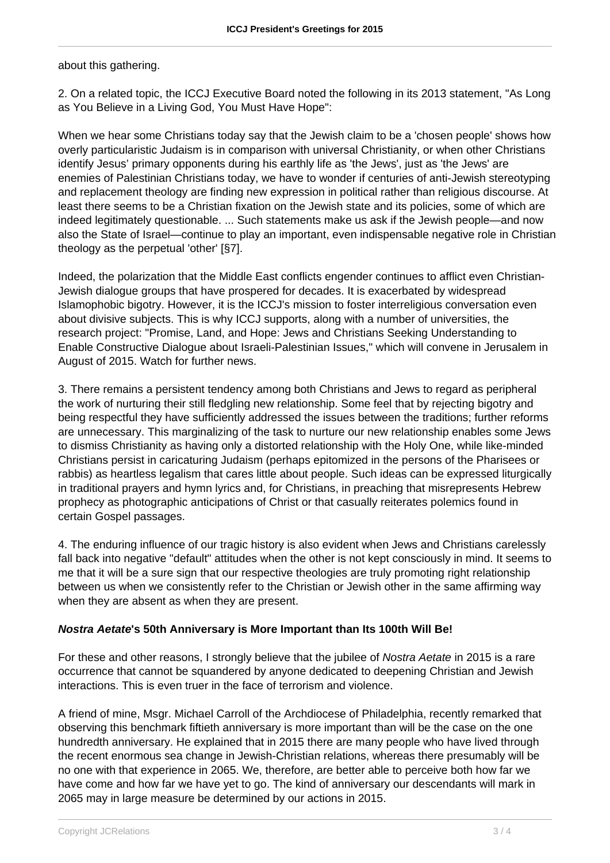## about this gathering.

2. On a related topic, the ICCJ Executive Board noted the following in its 2013 statement, "As Long as You Believe in a Living God, You Must Have Hope":

When we hear some Christians today say that the Jewish claim to be a 'chosen people' shows how overly particularistic Judaism is in comparison with universal Christianity, or when other Christians identify Jesus' primary opponents during his earthly life as 'the Jews', just as 'the Jews' are enemies of Palestinian Christians today, we have to wonder if centuries of anti-Jewish stereotyping and replacement theology are finding new expression in political rather than religious discourse. At least there seems to be a Christian fixation on the Jewish state and its policies, some of which are indeed legitimately questionable. ... Such statements make us ask if the Jewish people—and now also the State of Israel—continue to play an important, even indispensable negative role in Christian theology as the perpetual 'other' [§7].

Indeed, the polarization that the Middle East conflicts engender continues to afflict even Christian-Jewish dialogue groups that have prospered for decades. It is exacerbated by widespread Islamophobic bigotry. However, it is the ICCJ's mission to foster interreligious conversation even about divisive subjects. This is why ICCJ supports, along with a number of universities, the research project: "Promise, Land, and Hope: Jews and Christians Seeking Understanding to Enable Constructive Dialogue about Israeli-Palestinian Issues," which will convene in Jerusalem in August of 2015. Watch for further news.

3. There remains a persistent tendency among both Christians and Jews to regard as peripheral the work of nurturing their still fledgling new relationship. Some feel that by rejecting bigotry and being respectful they have sufficiently addressed the issues between the traditions; further reforms are unnecessary. This marginalizing of the task to nurture our new relationship enables some Jews to dismiss Christianity as having only a distorted relationship with the Holy One, while like-minded Christians persist in caricaturing Judaism (perhaps epitomized in the persons of the Pharisees or rabbis) as heartless legalism that cares little about people. Such ideas can be expressed liturgically in traditional prayers and hymn lyrics and, for Christians, in preaching that misrepresents Hebrew prophecy as photographic anticipations of Christ or that casually reiterates polemics found in certain Gospel passages.

4. The enduring influence of our tragic history is also evident when Jews and Christians carelessly fall back into negative "default" attitudes when the other is not kept consciously in mind. It seems to me that it will be a sure sign that our respective theologies are truly promoting right relationship between us when we consistently refer to the Christian or Jewish other in the same affirming way when they are absent as when they are present.

#### **Nostra Aetate's 50th Anniversary is More Important than Its 100th Will Be!**

For these and other reasons. I strongly believe that the jubilee of Nostra Aetate in 2015 is a rare occurrence that cannot be squandered by anyone dedicated to deepening Christian and Jewish interactions. This is even truer in the face of terrorism and violence.

A friend of mine, Msgr. Michael Carroll of the Archdiocese of Philadelphia, recently remarked that observing this benchmark fiftieth anniversary is more important than will be the case on the one hundredth anniversary. He explained that in 2015 there are many people who have lived through the recent enormous sea change in Jewish-Christian relations, whereas there presumably will be no one with that experience in 2065. We, therefore, are better able to perceive both how far we have come and how far we have yet to go. The kind of anniversary our descendants will mark in 2065 may in large measure be determined by our actions in 2015.